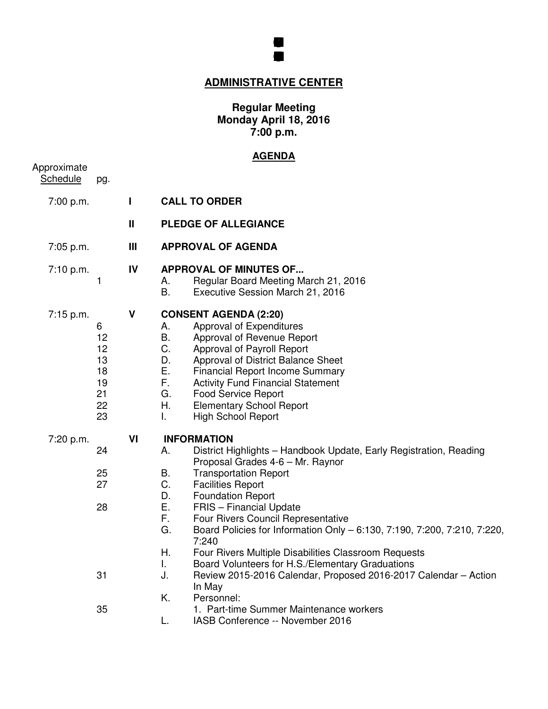

# **ADMINISTRATIVE CENTER**

#### **Regular Meeting Monday April 18, 2016 7:00 p.m.**

### **AGENDA**

| Approximate<br><b>Schedule</b> | pg.                                               |              |                                                                                                                                                                                                                                                                                                                                                                                                                                                                                                                                                                                                                                                                                                       |
|--------------------------------|---------------------------------------------------|--------------|-------------------------------------------------------------------------------------------------------------------------------------------------------------------------------------------------------------------------------------------------------------------------------------------------------------------------------------------------------------------------------------------------------------------------------------------------------------------------------------------------------------------------------------------------------------------------------------------------------------------------------------------------------------------------------------------------------|
| 7:00 p.m.                      |                                                   | L            | <b>CALL TO ORDER</b>                                                                                                                                                                                                                                                                                                                                                                                                                                                                                                                                                                                                                                                                                  |
|                                |                                                   | $\mathbf{I}$ | <b>PLEDGE OF ALLEGIANCE</b>                                                                                                                                                                                                                                                                                                                                                                                                                                                                                                                                                                                                                                                                           |
| 7:05 p.m.                      |                                                   | Ш            | <b>APPROVAL OF AGENDA</b>                                                                                                                                                                                                                                                                                                                                                                                                                                                                                                                                                                                                                                                                             |
| 7:10 p.m.                      | 1                                                 | IV           | <b>APPROVAL OF MINUTES OF</b><br>Regular Board Meeting March 21, 2016<br>А.<br>B.<br>Executive Session March 21, 2016                                                                                                                                                                                                                                                                                                                                                                                                                                                                                                                                                                                 |
| 7:15 p.m.                      | 6<br>12<br>12<br>13<br>18<br>19<br>21<br>22<br>23 | V            | <b>CONSENT AGENDA (2:20)</b><br>Approval of Expenditures<br>А.<br>В.<br>Approval of Revenue Report<br>C.<br>Approval of Payroll Report<br>D.<br>Approval of District Balance Sheet<br>Е.<br><b>Financial Report Income Summary</b><br>F.<br><b>Activity Fund Financial Statement</b><br>G.<br><b>Food Service Report</b><br>Η.<br><b>Elementary School Report</b><br><b>High School Report</b><br>L.                                                                                                                                                                                                                                                                                                  |
| 7:20 p.m.                      | 24<br>25<br>27<br>28<br>31<br>35                  | VI           | <b>INFORMATION</b><br>District Highlights - Handbook Update, Early Registration, Reading<br>А.<br>Proposal Grades 4-6 - Mr. Raynor<br>В.<br><b>Transportation Report</b><br>C.<br><b>Facilities Report</b><br>D.<br><b>Foundation Report</b><br>Ε.<br><b>FRIS</b> - Financial Update<br>F.<br>Four Rivers Council Representative<br>G.<br>Board Policies for Information Only - 6:130, 7:190, 7:200, 7:210, 7:220,<br>7:240<br>Η.<br>Four Rivers Multiple Disabilities Classroom Requests<br>Board Volunteers for H.S./Elementary Graduations<br>T.<br>J.<br>Review 2015-2016 Calendar, Proposed 2016-2017 Calendar - Action<br>In May<br>K.<br>Personnel:<br>1. Part-time Summer Maintenance workers |
|                                |                                                   |              | L.<br>IASB Conference -- November 2016                                                                                                                                                                                                                                                                                                                                                                                                                                                                                                                                                                                                                                                                |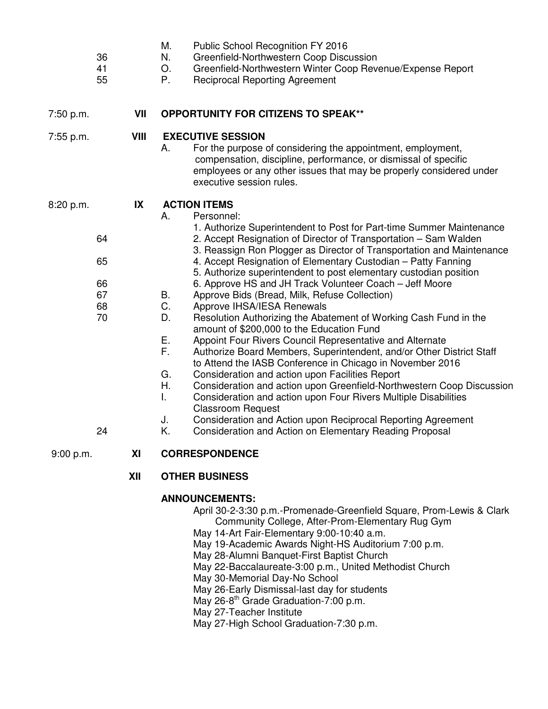| 36<br>41<br>55                                      |      | IVI.<br>PUDIIC SCNOOI RECOGNITION FY 2016<br>N.<br>Greenfield-Northwestern Coop Discussion<br>Greenfield-Northwestern Winter Coop Revenue/Expense Report<br>O.<br>P.<br><b>Reciprocal Reporting Agreement</b>                                                                                                                                                                                                                                                                                                                                                                                                                                                                                                                                                                                                                                                                                                                                                                                                                                                                                                                                                                                                                                                                    |
|-----------------------------------------------------|------|----------------------------------------------------------------------------------------------------------------------------------------------------------------------------------------------------------------------------------------------------------------------------------------------------------------------------------------------------------------------------------------------------------------------------------------------------------------------------------------------------------------------------------------------------------------------------------------------------------------------------------------------------------------------------------------------------------------------------------------------------------------------------------------------------------------------------------------------------------------------------------------------------------------------------------------------------------------------------------------------------------------------------------------------------------------------------------------------------------------------------------------------------------------------------------------------------------------------------------------------------------------------------------|
| 7:50 p.m.                                           | VII  | <b>OPPORTUNITY FOR CITIZENS TO SPEAK**</b>                                                                                                                                                                                                                                                                                                                                                                                                                                                                                                                                                                                                                                                                                                                                                                                                                                                                                                                                                                                                                                                                                                                                                                                                                                       |
| 7:55 p.m.                                           | VIII | <b>EXECUTIVE SESSION</b><br>For the purpose of considering the appointment, employment,<br>Α.<br>compensation, discipline, performance, or dismissal of specific<br>employees or any other issues that may be properly considered under<br>executive session rules.                                                                                                                                                                                                                                                                                                                                                                                                                                                                                                                                                                                                                                                                                                                                                                                                                                                                                                                                                                                                              |
| 8:20 p.m.<br>64<br>65<br>66<br>67<br>68<br>70<br>24 | IX   | <b>ACTION ITEMS</b><br>A.<br>Personnel:<br>1. Authorize Superintendent to Post for Part-time Summer Maintenance<br>2. Accept Resignation of Director of Transportation - Sam Walden<br>3. Reassign Ron Plogger as Director of Transportation and Maintenance<br>4. Accept Resignation of Elementary Custodian - Patty Fanning<br>5. Authorize superintendent to post elementary custodian position<br>6. Approve HS and JH Track Volunteer Coach – Jeff Moore<br>В.<br>Approve Bids (Bread, Milk, Refuse Collection)<br>C.<br>Approve IHSA/IESA Renewals<br>D.<br>Resolution Authorizing the Abatement of Working Cash Fund in the<br>amount of \$200,000 to the Education Fund<br>Е.<br>Appoint Four Rivers Council Representative and Alternate<br>F.<br>Authorize Board Members, Superintendent, and/or Other District Staff<br>to Attend the IASB Conference in Chicago in November 2016<br>G.<br>Consideration and action upon Facilities Report<br>Η.<br>Consideration and action upon Greenfield-Northwestern Coop Discussion<br>L.<br>Consideration and action upon Four Rivers Multiple Disabilities<br><b>Classroom Request</b><br>Consideration and Action upon Reciprocal Reporting Agreement<br>J.<br>Κ.<br>Consideration and Action on Elementary Reading Proposal |
| 9:00 p.m.                                           | XI   | <b>CORRESPONDENCE</b>                                                                                                                                                                                                                                                                                                                                                                                                                                                                                                                                                                                                                                                                                                                                                                                                                                                                                                                                                                                                                                                                                                                                                                                                                                                            |
|                                                     | XII  | <b>OTHER BUSINESS</b>                                                                                                                                                                                                                                                                                                                                                                                                                                                                                                                                                                                                                                                                                                                                                                                                                                                                                                                                                                                                                                                                                                                                                                                                                                                            |

M. Public School Recognition FY 2016

## **ANNOUNCEMENTS:**

April 30-2-3:30 p.m.-Promenade-Greenfield Square, Prom-Lewis & Clark Community College, After-Prom-Elementary Rug Gym

- May 14-Art Fair-Elementary 9:00-10:40 a.m.
- May 19-Academic Awards Night-HS Auditorium 7:00 p.m.
- May 28-Alumni Banquet-First Baptist Church
- May 22-Baccalaureate-3:00 p.m., United Methodist Church
- May 30-Memorial Day-No School
- May 26-Early Dismissal-last day for students
- May 26-8<sup>th</sup> Grade Graduation-7:00 p.m.
- May 27-Teacher Institute

May 27-High School Graduation-7:30 p.m.